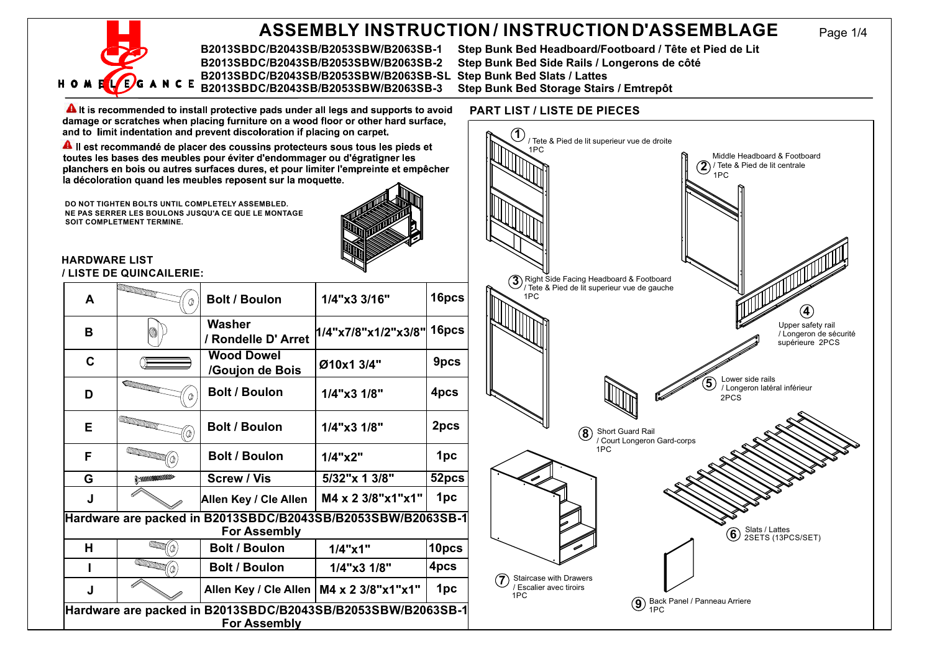## **ASSEMBLY INSTRUCTION / INSTRUCTIOND'ASSEMBLAGE**

**B2013SBDC/B2043SB/B2053SBW/B2063SB-1 Step Bunk Bed Headboard/Footboard / Tête et Pied de Lit B2013SBDC/B2043SB/B2053SBW/B2063SB-2 Step Bunk Bed Side Rails / Longerons de côté B2013SBDC/B2043SB/B2053SBW/B2063SB-SL Step Bunk Bed Slats / Lattes** C E B2013SBDC/B2043SB/B2053SBW/B2063SB-3

### **PART LIST / LISTE DE PIECES**

**A** It is recommended to install protective pads under all legs and supports to avoid damage or scratches when placing furniture on a wood floor or other hard surface, and to limit indentation and prevent discoloration if placing on carpet.

All est recommandé de placer des coussins protecteurs sous tous les pieds et toutes les bases des meubles pour éviter d'endommager ou d'égratiquer les planchers en bois ou autres surfaces dures, et pour limiter l'empreinte et empêcher la décoloration quand les meubles reposent sur la moquette.

**DO NOT TIGHTEN BOLTS UNTIL COMPLETELY ASSEMBLED. NE PAS SERRER LES BOULONS JUSQU'A CE QUE LE MONTAGE SOIT COMPLETMENT TERMINE.**



#### **HARDWARE LIST / LISTE DE QUINCAILERIE:**

| A                                                                                  | <b>ALLE CONTROLLER COMMENT</b><br>⋔                                                                                                                                                                                                  | <b>Bolt / Boulon</b>                      | 1/4"x3 3/16"        | 16pcs |
|------------------------------------------------------------------------------------|--------------------------------------------------------------------------------------------------------------------------------------------------------------------------------------------------------------------------------------|-------------------------------------------|---------------------|-------|
| в                                                                                  |                                                                                                                                                                                                                                      | Washer<br>/ Rondelle D' Arret             | 1/4"x7/8"x1/2"x3/8" | 16pcs |
| C                                                                                  |                                                                                                                                                                                                                                      | <b>Wood Dowel</b><br>/Goujon de Bois      | Ø10x1 3/4"          | 9pcs  |
| D                                                                                  | <b>COMMUNICATION</b>                                                                                                                                                                                                                 | <b>Bolt / Boulon</b>                      | $1/4$ "x3 $1/8$ "   | 4pcs  |
| Е                                                                                  | a kata wa Tanzania ya Tanzania ya Tanzania ya Tanzania ya Tanzania ya Tanzania ya Tanzania ya Tanzania ya Tanzania ya Tanzania ya Tanzania ya Tanzania ya Tanzania ya Tanzania ya Tanzania ya Tanzania ya Tanzania ya Tanzania<br>Ō, | <b>Bolt / Boulon</b>                      | $1/4$ "x3 $1/8$ "   | 2pcs  |
| F                                                                                  | <b>Contract of the Contract of the Contract of the Contract of the Contract of the Contract of The Contract of T</b>                                                                                                                 | <b>Bolt / Boulon</b>                      | $1/4$ " $\times$ 2" | 1pc   |
| G                                                                                  | <b>A MARKERSHARE</b>                                                                                                                                                                                                                 | <b>Screw / Vis</b>                        | 5/32"x 1 3/8"       | 52pcs |
| J                                                                                  |                                                                                                                                                                                                                                      | Allen Key / Cle Allen                     | M4 x 2 3/8"x1"x1"   | 1pc   |
| Hardware are packed in B2013SBDC/B2043SB/B2053SBW/B2063SB-1<br><b>For Assembly</b> |                                                                                                                                                                                                                                      |                                           |                     |       |
| н                                                                                  | Calaman<br>'n                                                                                                                                                                                                                        | <b>Bolt / Boulon</b>                      | $1/4$ "x1"          | 10pcs |
|                                                                                    | $\overline{\text{Hom}}(\mathbb{Q})$                                                                                                                                                                                                  | <b>Bolt / Boulon</b>                      | 1/4"x3 1/8"         | 4pcs  |
| J                                                                                  |                                                                                                                                                                                                                                      | Allen Key / Cle Allen   M4 x 2 3/8"x1"x1" |                     | 1pc   |
| Hardware are packed in B2013SBDC/B2043SB/B2053SBW/B2063SB-1<br><b>For Assembly</b> |                                                                                                                                                                                                                                      |                                           |                     |       |



Page 1/4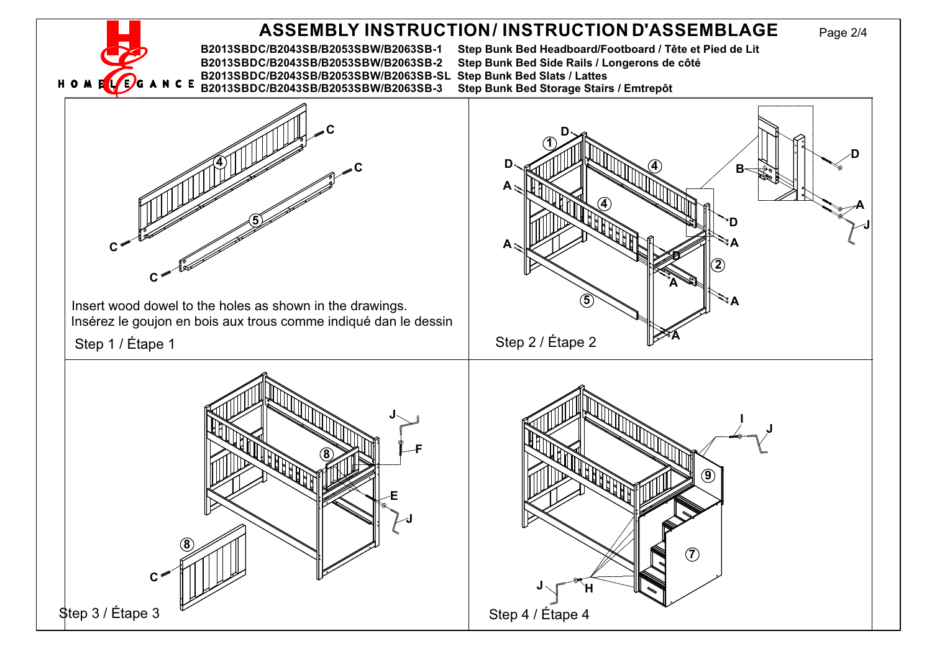### Page 2/4 **B2013SBDC/B2043SB/B2053SBW/B2063SB-1 Step Bunk Bed Headboard/Footboard / Tête et Pied de Lit ASSEMBLY INSTRUCTION/ INSTRUCTION D'ASSEMBLAGE**

**B2013SBDC/B2043SB/B2053SBW/B2063SB-2 Step Bunk Bed Side Rails / Longerons de côté B2013SBDC/B2043SB/B2053SBW/B2063SB-SL Step Bunk Bed Slats / Lattes** B2013SBDC/B2043SB/B2053SBW/B2063SB-3

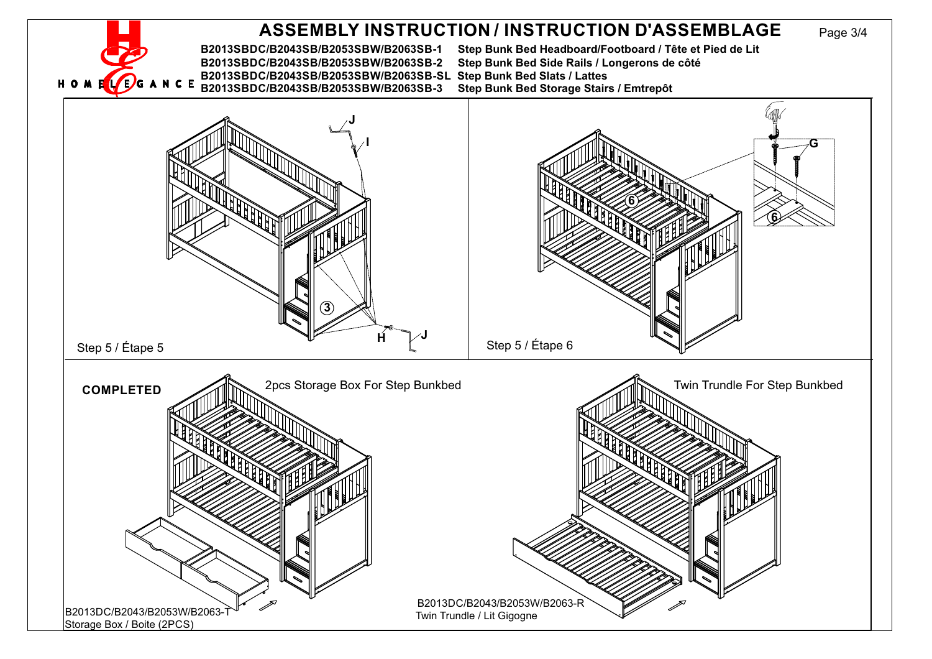